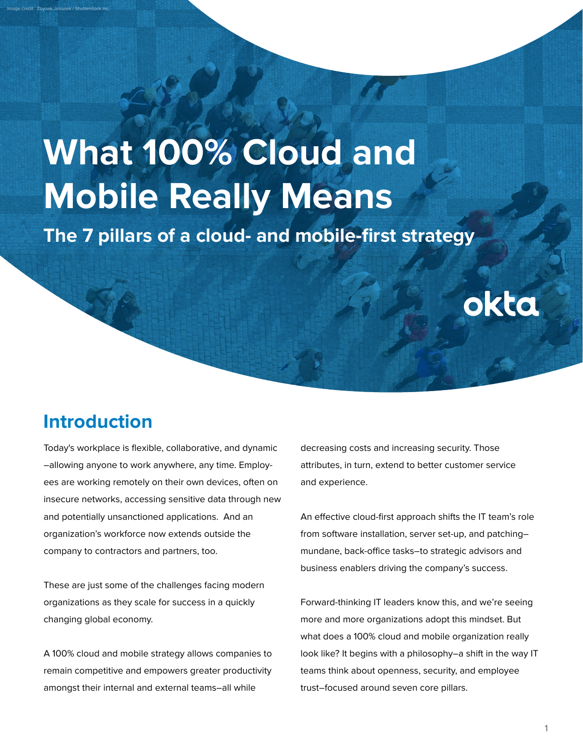# **What 100% Cloud and Mobile Really Means**

**The 7 pillars of a cloud- and mobile-first strategy**

## **Introduction**

Image credit: Zbynek Jirousek / Shutterstock Inc.

Today's workplace is flexible, collaborative, and dynamic –allowing anyone to work anywhere, any time. Employees are working remotely on their own devices, often on insecure networks, accessing sensitive data through new and potentially unsanctioned applications. And an organization's workforce now extends outside the company to contractors and partners, too.

These are just some of the challenges facing modern organizations as they scale for success in a quickly changing global economy.

A 100% cloud and mobile strategy allows companies to remain competitive and empowers greater productivity amongst their internal and external teams–all while

decreasing costs and increasing security. Those attributes, in turn, extend to better customer service and experience.

okta

An effective cloud-first approach shifts the IT team's role from software installation, server set-up, and patching– mundane, back-office tasks–to strategic advisors and business enablers driving the company's success.

Forward-thinking IT leaders know this, and we're seeing more and more organizations adopt this mindset. But what does a 100% cloud and mobile organization really look like? It begins with a philosophy–a shift in the way IT teams think about openness, security, and employee trust–focused around seven core pillars.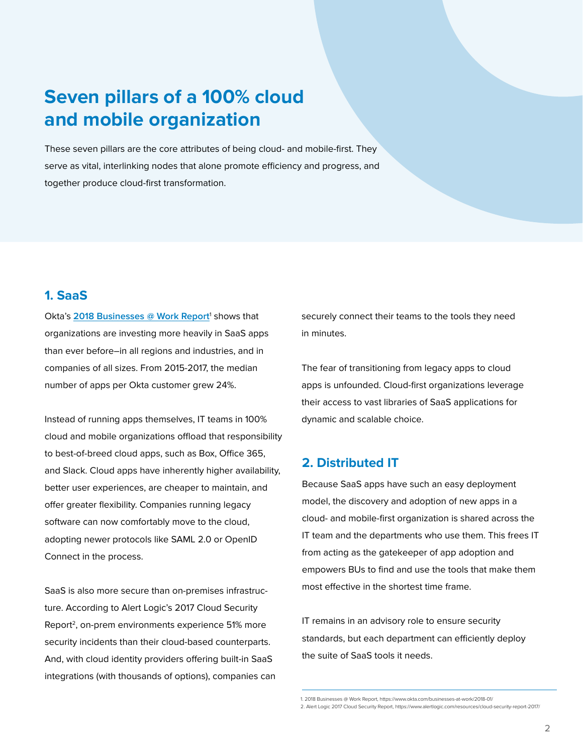## **Seven pillars of a 100% cloud and mobile organization**

These seven pillars are the core attributes of being cloud- and mobile-first. They serve as vital, interlinking nodes that alone promote efficiency and progress, and together produce cloud-first transformation.

#### **1. SaaS**

Okta's [2018 Businesses @ Work Report](https://www.okta.com/businesses-at-work/2018-01/)<sup>1</sup> shows that organizations are investing more heavily in SaaS apps than ever before–in all regions and industries, and in companies of all sizes. From 2015-2017, the median number of apps per Okta customer grew 24%.

Instead of running apps themselves, IT teams in 100% cloud and mobile organizations offload that responsibility to best-of-breed cloud apps, such as Box, Office 365, and Slack. Cloud apps have inherently higher availability, better user experiences, are cheaper to maintain, and offer greater flexibility. Companies running legacy software can now comfortably move to the cloud, adopting newer protocols like SAML 2.0 or OpenID Connect in the process.

SaaS is also more secure than on-premises infrastructure. According to Alert Logic's 2017 Cloud Security Report<sup>2</sup>, on-prem environments experience 51% more security incidents than their cloud-based counterparts. And, with cloud identity providers offering built-in SaaS integrations (with thousands of options), companies can securely connect their teams to the tools they need in minutes.

The fear of transitioning from legacy apps to cloud apps is unfounded. Cloud-first organizations leverage their access to vast libraries of SaaS applications for dynamic and scalable choice.

### **2. Distributed IT**

Because SaaS apps have such an easy deployment model, the discovery and adoption of new apps in a cloud- and mobile-first organization is shared across the IT team and the departments who use them. This frees IT from acting as the gatekeeper of app adoption and empowers BUs to find and use the tools that make them most effective in the shortest time frame.

IT remains in an advisory role to ensure security standards, but each department can efficiently deploy the suite of SaaS tools it needs.

<sup>1. 2018</sup> Businesses @ Work Report, https://www.okta.com/businesses-at-work/2018-01/

<sup>2.</sup> Alert Logic 2017 Cloud Security Report, https://www.alertlogic.com/resources/cloud-security-report-2017/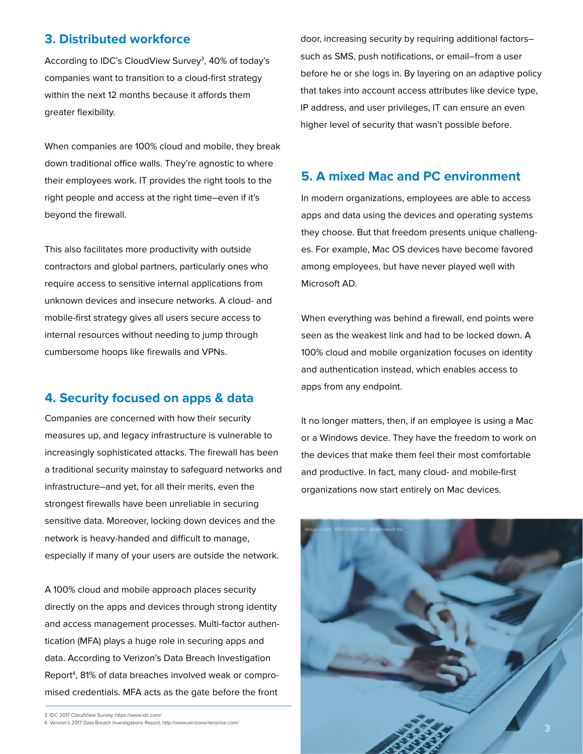#### **3. Distributed workforce**

According to IDC's CloudView Survey<sup>3</sup>, 40% of today's companies want to transition to a cloud-first strategy within the next 12 months because it affords them greater flexibility.

When companies are 100% cloud and mobile, they break down traditional office walls. They're agnostic to where their employees work. IT provides the right tools to the right people and access at the right time–even if it's beyond the firewall.

This also facilitates more productivity with outside contractors and global partners, particularly ones who require access to sensitive internal applications from unknown devices and insecure networks. A cloud- and mobile-first strategy gives all users secure access to internal resources without needing to jump through cumbersome hoops like firewalls and VPNs.

#### **4. Security focused on apps & data**

Companies are concerned with how their security measures up, and legacy infrastructure is vulnerable to increasingly sophisticated attacks. The firewall has been a traditional security mainstay to safeguard networks and infrastructure–and yet, for all their merits, even the strongest firewalls have been unreliable in securing sensitive data. Moreover, locking down devices and the network is heavy-handed and difficult to manage, especially if many of your users are outside the network.

A 100% cloud and mobile approach places security directly on the apps and devices through strong identity and access management processes. Multi-factor authentication (MFA) plays a huge role in securing apps and data. According to Verizon's Data Breach Investigation Report<sup>4</sup>, 81% of data breaches involved weak or compromised credentials. MFA acts as the gate before the front

door, increasing security by requiring additional factors– such as SMS, push notifications, or email–from a user before he or she logs in. By layering on an adaptive policy that takes into account access attributes like device type, IP address, and user privileges, IT can ensure an even higher level of security that wasn't possible before.

#### **5. A mixed Mac and PC environment**

In modern organizations, employees are able to access apps and data using the devices and operating systems they choose. But that freedom presents unique challenges. For example, Mac OS devices have become favored among employees, but have never played well with Microsoft AD.

When everything was behind a firewall, end points were seen as the weakest link and had to be locked down. A 100% cloud and mobile organization focuses on identity and authentication instead, which enables access to apps from any endpoint.

It no longer matters, then, if an employee is using a Mac or a Windows device. They have the freedom to work on the devices that make them feel their most comfortable and productive. In fact, many cloud- and mobile-first organizations now start entirely on Mac devices.



<sup>3.</sup> IDC 2017 CloudView Survey, https://www.idc.com/

<sup>4.</sup> Verizon's 2017 Data Breach Investigations Report, http://www.verizonenterprise.com/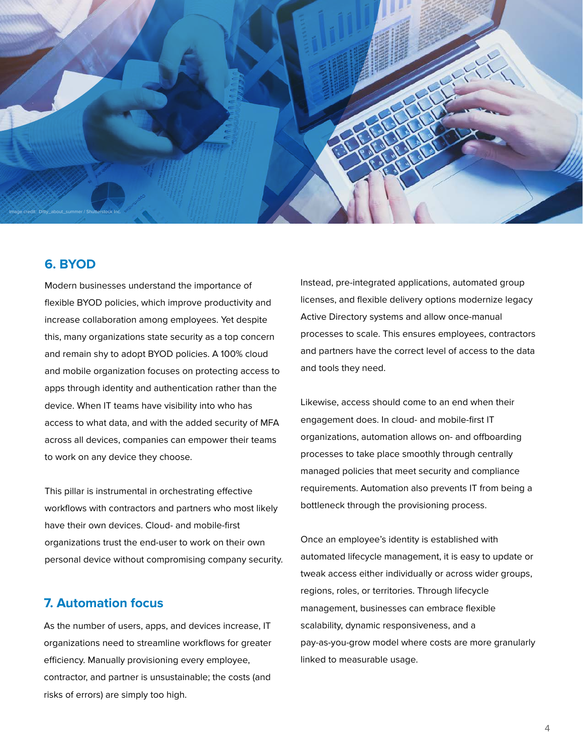

#### **6. BYOD**

Modern businesses understand the importance of flexible BYOD policies, which improve productivity and increase collaboration among employees. Yet despite this, many organizations state security as a top concern and remain shy to adopt BYOD policies. A 100% cloud and mobile organization focuses on protecting access to apps through identity and authentication rather than the device. When IT teams have visibility into who has access to what data, and with the added security of MFA across all devices, companies can empower their teams to work on any device they choose.

This pillar is instrumental in orchestrating effective workflows with contractors and partners who most likely have their own devices. Cloud- and mobile-first organizations trust the end-user to work on their own personal device without compromising company security.

#### **7. Automation focus**

As the number of users, apps, and devices increase, IT organizations need to streamline workflows for greater efficiency. Manually provisioning every employee, contractor, and partner is unsustainable; the costs (and risks of errors) are simply too high.

Instead, pre-integrated applications, automated group licenses, and flexible delivery options modernize legacy Active Directory systems and allow once-manual processes to scale. This ensures employees, contractors and partners have the correct level of access to the data and tools they need.

Likewise, access should come to an end when their engagement does. In cloud- and mobile-first IT organizations, automation allows on- and offboarding processes to take place smoothly through centrally managed policies that meet security and compliance requirements. Automation also prevents IT from being a bottleneck through the provisioning process.

Once an employee's identity is established with automated lifecycle management, it is easy to update or tweak access either individually or across wider groups, regions, roles, or territories. Through lifecycle management, businesses can embrace flexible scalability, dynamic responsiveness, and a pay-as-you-grow model where costs are more granularly linked to measurable usage.